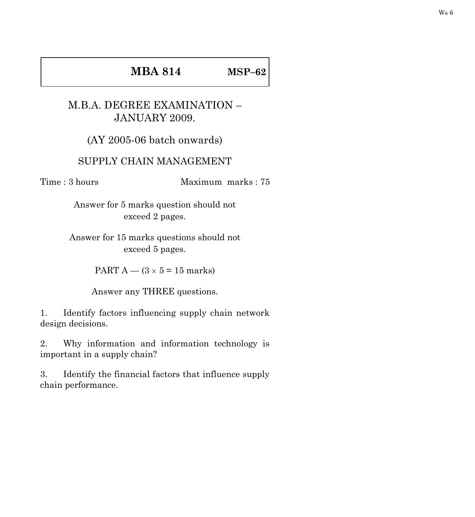## **MBA 814 MSP–62**

## M.B.A. DEGREE EXAMINATION – JANUARY 2009.

(AY 2005-06 batch onwards)

## SUPPLY CHAIN MANAGEMENT

Time : 3 hours Maximum marks : 75

Answer for 5 marks question should not exceed 2 pages.

Answer for 15 marks questions should not exceed 5 pages.

PART A —  $(3 \times 5 = 15$  marks)

Answer any THREE questions.

1. Identify factors influencing supply chain network design decisions.

2. Why information and information technology is important in a supply chain?

3. Identify the financial factors that influence supply chain performance.